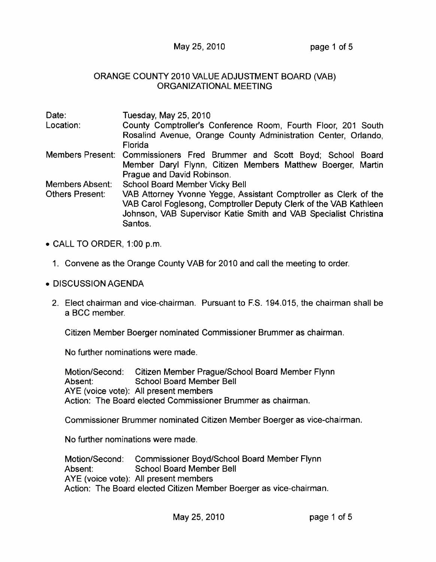## May 25, 2010 **page 1 of 5**

## ORANGE COUNTY 2010 VALUE ADJUSTMENT BOARD (VAB) ORGANIZATIONAL MEETING

| Date:           | Tuesday, May 25, 2010                                                    |
|-----------------|--------------------------------------------------------------------------|
| Location:       | County Comptroller's Conference Room, Fourth Floor, 201 South            |
|                 | Rosalind Avenue, Orange County Administration Center, Orlando,           |
|                 | Florida                                                                  |
|                 | Members Present: Commissioners Fred Brummer and Scott Boyd; School Board |
|                 | Member Daryl Flynn, Citizen Members Matthew Boerger, Martin              |
|                 | Prague and David Robinson.                                               |
| Members Absent: | School Board Member Vicky Bell                                           |
| Others Present: | VAB Attorney Yvonne Yegge, Assistant Comptroller as Clerk of the         |
|                 | VAB Carol Foglesong, Comptroller Deputy Clerk of the VAB Kathleen        |
|                 | Johnson, VAB Supervisor Katie Smith and VAB Specialist Christina         |
|                 | Santos.                                                                  |

- CALL TO ORDER, 1:00 p.m.
	- 1. Convene as the Orange County VAB for 2010 and call the meeting to order.
- DISCUSSION AGENDA
	- 2. Elect chairman and vice-chairman. Pursuant to F.S. 194.015, the chairman shall be a BCC member.

Citizen Member Boerger nominated Commissioner Brummer as chairman.

No further nominations were made.

Motion/Second: Citizen Member Prague/School Board Member Flynn Absent: School Board Member Bell AYE (voice vote): All present members Action: The Board elected Commissioner Brummer as chairman.

Commissioner Brummer nominated Citizen Member Boerger as vice-chairman.

No further nominations were made.

Motion/Second: Commissioner Boyd/School Board Member Flynn Absent: School Board Member Bell AYE (voice vote): All present members Action: The Board elected Citizen Member Boerger as vice-chairman.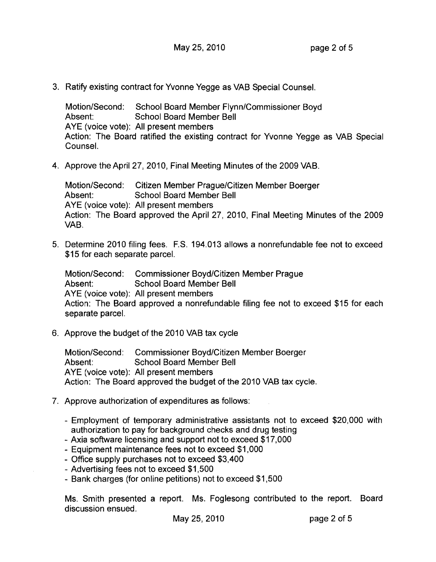3. Ratify existing contract for Yvonne Yegge as VAB Special Counsel.

Motion/Second: School Board Member Flynn/Commissioner Boyd Absent: School Board Member Bell AYE (voice vote): All present members Action: The Board ratified the existing contract for Yvonne Yegge as VAB Special Counsel.

4. Approve the April 27, 2010, Final Meeting Minutes of the 2009 VAB.

Motion/Second: Citizen Member Prague/Citizen Member Boerger Absent: School Board Member Bell AYE (voice vote): All present members Action: The Board approved the April 27, 2010, Final Meeting Minutes of the 2009 VAB.

5. Determine 2010 filing fees. F.S. 194.013 allows a nonrefundable fee not to exceed \$15 for each separate parcel.

Motion/Second: Commissioner Boyd/Citizen Member Prague Absent: School Board Member Bell AYE (voice vote): All present members Action: The Board approved a nonrefundable filing fee not to exceed \$15 for each separate parcel.

6. Approve the budget of the 2010 VAB tax cycle

Motion/Second: Commissioner Boyd/Citizen Member Boerger Absent: School Board Member Bell AYE (voice vote): All present members Action: The Board approved the budget of the 2010 VAB tax cycle.

- 7. Approve authorization of expenditures as follows:
	- Employment of temporary administrative assistants not to exceed \$20,000 with authorization to pay for background checks and drug testing
	- Axia software licensing and support not to exceed \$17,000
	- Equipment maintenance fees not to exceed \$1,000
	- Office supply purchases not to exceed \$3,400
	- Advertising fees not to exceed \$1,500
	- Bank charges (for online petitions) not to exceed \$1,500

Ms. Smith presented a report. Ms. Foglesong contributed to the report. Board discussion ensued.

May 25,2010 page 2 of 5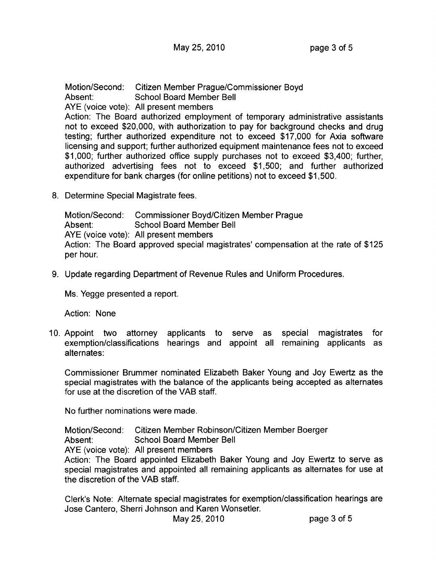Motion/Second: Citizen Member Prague/Commissioner Boyd Absent: School Board Member Bell AYE (voice vote): All present members Action: The Board authorized employment of temporary administrative assistants not to exceed \$20,000, with authorization to pay for background checks and drug testing; further authorized expenditure not to exceed \$17,000 for Axia software licensing and support; further authorized equipment maintenance fees not to exceed \$1,000; further authorized office supply purchases not to exceed \$3,400; further, authorized advertising fees not to exceed \$1,500; and further authorized expenditure for bank charges (for online petitions) not to exceed \$1,500.

8. Determine Special Magistrate fees.

Motion/Second: Commissioner Boyd/Citizen Member Prague Absent: School Board Member Bell AYE (voice vote): All present members Action: The Board approved special magistrates' compensation at the rate of \$125 per hour.

9. Update regarding Department of Revenue Rules and Uniform Procedures.

Ms. Yegge presented a report.

Action: None

10. Appoint two attorney applicants to serve as special magistrates for exemption/classifications hearings and appoint all remaining applicants as alternates:

Commissioner Brummer nominated Elizabeth Baker Young and Joy Ewertz as the special magistrates with the balance of the applicants being accepted as alternates for use at the discretion of the VAB staff.

No further nominations were made.

Motion/Second: Citizen Member Robinson/Citizen Member Boerger

Absent: School Board Member Bell

AYE (voice vote): All present members

Action: The Board appointed Elizabeth Baker Young and Joy Ewertz to serve as special magistrates and appointed all remaining applicants as alternates for use at the discretion of the VAB staff.

Clerk's Note: Alternate special magistrates for exemption/classification hearings are Jose Cantero, Sherri Johnson and Karen Wonsetler.

May 25, 2010 page 3 of 5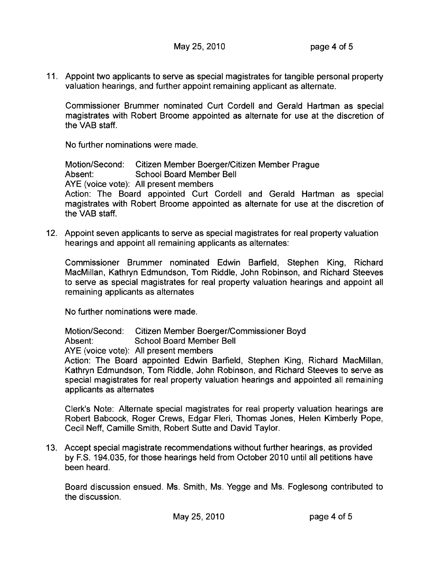11. Appoint two applicants to serve as special magistrates for tangible personal property valuation hearings, and further appoint remaining applicant as alternate.

Commissioner Brummer nominated Curt Cordell and Gerald Hartman as special magistrates with Robert Broome appointed as alternate for use at the discretion of the VAB staff.

No further nominations were made.

Motion/Second: Citizen Member Boerger/Citizen Member Prague Absent: School Board Member Bell AYE (voice vote): All present members Action: The Board appointed Curt Cordell and Gerald Hartman as special magistrates with Robert Broome appointed as alternate for use at the discretion of the VAB staff.

12. Appoint seven applicants to serve as special magistrates for real property valuation hearings and appoint all remaining applicants as alternates:

Commissioner Brummer nominated Edwin Barfield, Stephen King, Richard MacMillan, Kathryn Edmundson, Tom Riddle, John Robinson, and Richard Steeves to serve as special magistrates for real property valuation hearings and appoint all remaining applicants as alternates

No further nominations were made.

Motion/Second: Citizen Member Boerger/Commissioner Boyd Absent: School Board Member Bell AYE (voice vote): All present members Action: The Board appointed Edwin Barfield, Stephen King, Richard MacMillan, Kathryn Edmundson, Tom Riddle, John Robinson, and Richard Steeves to serve as special magistrates for real property valuation hearings and appointed all remaining applicants as alternates

Clerk's Note: Alternate special magistrates for real property valuation hearings are Robert Babcock, Roger Crews, Edgar Fieri, Thomas Jones, Helen Kimberly Pope, Cecil Neff, Camille Smith, Robert Sutte and David Taylor.

13. Accept special magistrate recommendations without further hearings, as provided by F.S. 194.035, for those hearings held from October 2010 until all petitions have been heard.

Board discussion ensued. Ms. Smith, Ms. Yegge and Ms. Foglesong contributed to the discussion.